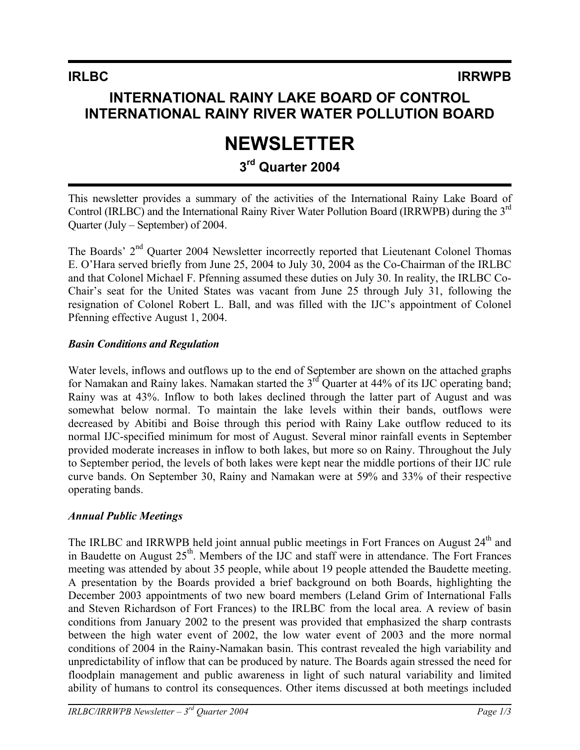## **INTERNATIONAL RAINY LAKE BOARD OF CONTROL INTERNATIONAL RAINY RIVER WATER POLLUTION BOARD**

# **NEWSLETTER**

## **3rd Quarter 2004**

This newsletter provides a summary of the activities of the International Rainy Lake Board of Control (IRLBC) and the International Rainy River Water Pollution Board (IRRWPB) during the 3rd Quarter (July – September) of 2004.

The Boards' 2<sup>nd</sup> Quarter 2004 Newsletter incorrectly reported that Lieutenant Colonel Thomas E. O'Hara served briefly from June 25, 2004 to July 30, 2004 as the Co-Chairman of the IRLBC and that Colonel Michael F. Pfenning assumed these duties on July 30. In reality, the IRLBC Co-Chair's seat for the United States was vacant from June 25 through July 31, following the resignation of Colonel Robert L. Ball, and was filled with the IJC's appointment of Colonel Pfenning effective August 1, 2004.

#### *Basin Conditions and Regulation*

Water levels, inflows and outflows up to the end of September are shown on the attached graphs for Namakan and Rainy lakes. Namakan started the  $3<sup>rd</sup>$  Quarter at 44% of its IJC operating band; Rainy was at 43%. Inflow to both lakes declined through the latter part of August and was somewhat below normal. To maintain the lake levels within their bands, outflows were decreased by Abitibi and Boise through this period with Rainy Lake outflow reduced to its normal IJC-specified minimum for most of August. Several minor rainfall events in September provided moderate increases in inflow to both lakes, but more so on Rainy. Throughout the July to September period, the levels of both lakes were kept near the middle portions of their IJC rule curve bands. On September 30, Rainy and Namakan were at 59% and 33% of their respective operating bands.

#### *Annual Public Meetings*

The IRLBC and IRRWPB held joint annual public meetings in Fort Frances on August 24<sup>th</sup> and in Baudette on August  $25<sup>th</sup>$ . Members of the IJC and staff were in attendance. The Fort Frances meeting was attended by about 35 people, while about 19 people attended the Baudette meeting. A presentation by the Boards provided a brief background on both Boards, highlighting the December 2003 appointments of two new board members (Leland Grim of International Falls and Steven Richardson of Fort Frances) to the IRLBC from the local area. A review of basin conditions from January 2002 to the present was provided that emphasized the sharp contrasts between the high water event of 2002, the low water event of 2003 and the more normal conditions of 2004 in the Rainy-Namakan basin. This contrast revealed the high variability and unpredictability of inflow that can be produced by nature. The Boards again stressed the need for floodplain management and public awareness in light of such natural variability and limited ability of humans to control its consequences. Other items discussed at both meetings included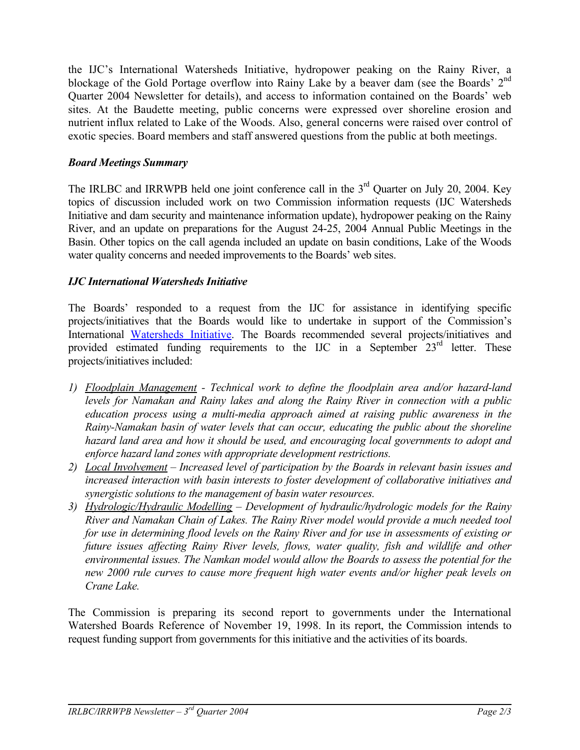the IJC's International Watersheds Initiative, hydropower peaking on the Rainy River, a blockage of the Gold Portage overflow into Rainy Lake by a beaver dam (see the Boards' 2<sup>nd</sup> Quarter 2004 Newsletter for details), and access to information contained on the Boards' web sites. At the Baudette meeting, public concerns were expressed over shoreline erosion and nutrient influx related to Lake of the Woods. Also, general concerns were raised over control of exotic species. Board members and staff answered questions from the public at both meetings.

#### *Board Meetings Summary*

The IRLBC and IRRWPB held one joint conference call in the  $3<sup>rd</sup>$  Quarter on July 20, 2004. Key topics of discussion included work on two Commission information requests (IJC Watersheds Initiative and dam security and maintenance information update), hydropower peaking on the Rainy River, and an update on preparations for the August 24-25, 2004 Annual Public Meetings in the Basin. Other topics on the call agenda included an update on basin conditions, Lake of the Woods water quality concerns and needed improvements to the Boards' web sites.

#### *IJC International Watersheds Initiative*

The Boards' responded to a request from the IJC for assistance in identifying specific projects/initiatives that the Boards would like to undertake in support of the Commission's International [Watersheds Initiative](http://www.ijc.org/conseil_board/watershed/en/watershed_home_accueil.htm). The Boards recommended several projects/initiatives and provided estimated funding requirements to the IJC in a September 23<sup>rd</sup> letter. These projects/initiatives included:

- *1) Floodplain Management Technical work to define the floodplain area and/or hazard-land levels for Namakan and Rainy lakes and along the Rainy River in connection with a public education process using a multi-media approach aimed at raising public awareness in the Rainy-Namakan basin of water levels that can occur, educating the public about the shoreline hazard land area and how it should be used, and encouraging local governments to adopt and enforce hazard land zones with appropriate development restrictions.*
- *2) Local Involvement Increased level of participation by the Boards in relevant basin issues and increased interaction with basin interests to foster development of collaborative initiatives and synergistic solutions to the management of basin water resources.*
- *3) Hydrologic/Hydraulic Modelling Development of hydraulic/hydrologic models for the Rainy River and Namakan Chain of Lakes. The Rainy River model would provide a much needed tool for use in determining flood levels on the Rainy River and for use in assessments of existing or future issues affecting Rainy River levels, flows, water quality, fish and wildlife and other environmental issues. The Namkan model would allow the Boards to assess the potential for the new 2000 rule curves to cause more frequent high water events and/or higher peak levels on Crane Lake.*

The Commission is preparing its second report to governments under the International Watershed Boards Reference of November 19, 1998. In its report, the Commission intends to request funding support from governments for this initiative and the activities of its boards.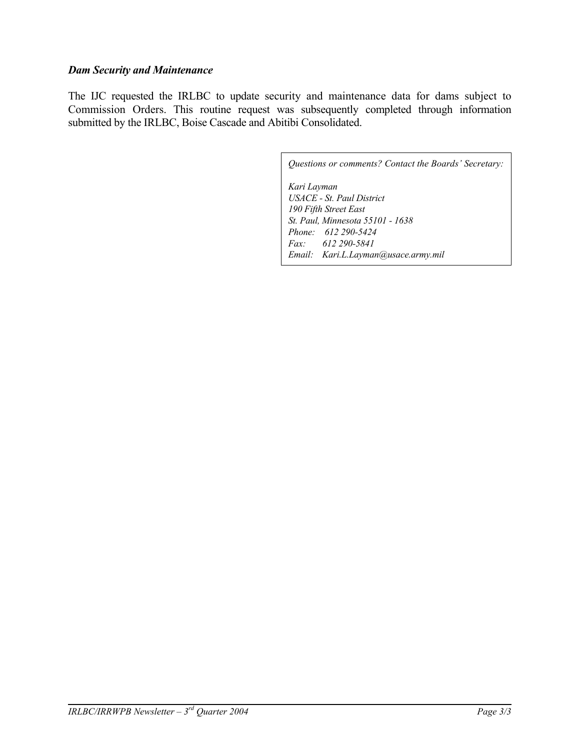#### *Dam Security and Maintenance*

The IJC requested the IRLBC to update security and maintenance data for dams subject to Commission Orders. This routine request was subsequently completed through information submitted by the IRLBC, Boise Cascade and Abitibi Consolidated.

> *Questions or comments? Contact the Boards' Secretary: Kari Layman USACE - St. Paul District 190 Fifth Street East St. Paul, Minnesota 55101 - 1638 Phone: 612 290-5424 Fax: 612 290-5841 Email: [Kari.L.Layman@usace.army.mil](mailto:Kari.L.Layman@usace.army.mil)*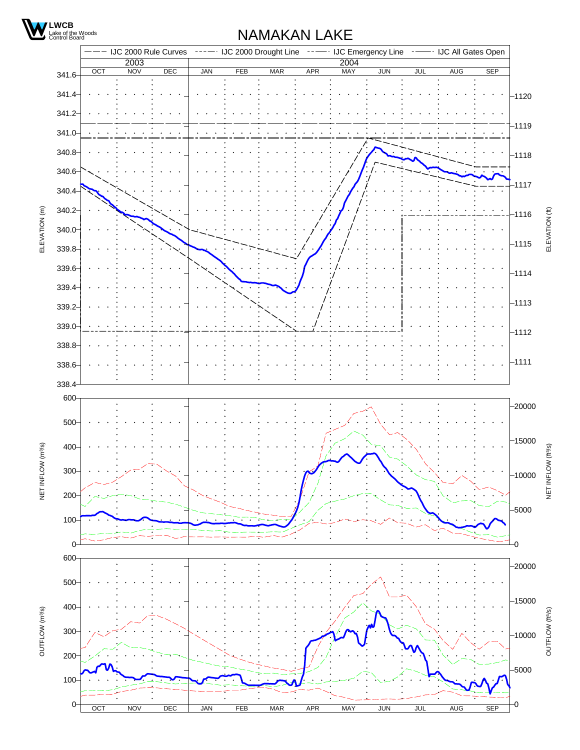

## NAMAKAN LAKE